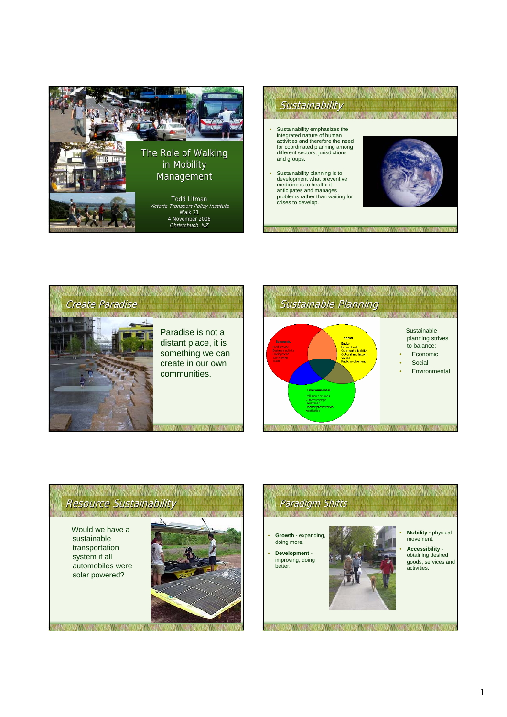







Would we have a sustainable transportation system if all automobiles were solar powered?

### **SAK KINGSA** ZUW. 精源 **Paradigm Shifts** • **Mobility** - physical • **Growth -** expanding, movement. doing more. • **Accessibility** - obtaining desired goods, services and • **Development** improving, doing better.activities.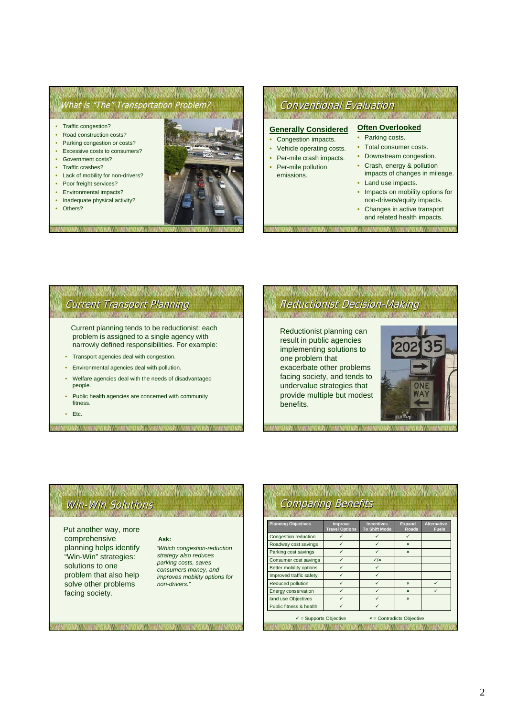### What is "The" Transportation Problem? • Traffic congestion? • Road construction costs? • Parking congestion or costs? • Excessive costs to consumers? • Government costs? • Traffic crashes? • Lack of mobility for non-drivers? • Poor freight services? • Environmental impacts? • Inadequate physical activity? Others? Conventional Evaluation **Generally Considered** Congestion impacts. • Vehicle operating costs. • Per-mile crash impacts. • Per-mile pollution emissions. **Often Overlooked** • Parking costs. • Total consumer costs. • Downstream congestion. • Crash, energy & pollution impacts of changes in mileage. • Land use impacts. • Impacts on mobility options for non-drivers/equity impacts. • Changes in active transport and related health impacts.

## **MAIN** Current Transport Planning

Current planning tends to be reductionist: each problem is assigned to a single agency with narrowly defined responsibilities. For example:

- Transport agencies deal with congestion.
- Environmental agencies deal with pollution.
- Welfare agencies deal with the needs of disadvantaged people.
- Public health agencies are concerned with community fitness.
- Etc.



## **NEW YORK STATE** Win-Win Solutions

Put another way, more comprehensive planning helps identify "Win-Win" strategies: solutions to one problem that also help solve other problems facing society.

### **Ask:**

*"Which congestion-reduction strategy also reduces parking costs, saves consumers money, and improves mobility options for non-drivers."*

| <b>Comparing Benefits</b>  |                                  |                                           |                               |                                    |
|----------------------------|----------------------------------|-------------------------------------------|-------------------------------|------------------------------------|
| <b>Planning Objectives</b> | Improve<br><b>Travel Options</b> | <b>Incentives</b><br><b>To Shift Mode</b> | <b>Expand</b><br><b>Roads</b> | <b>Alternative</b><br><b>Fuels</b> |
| Congestion reduction       | ✓                                | ✓                                         | ✓                             |                                    |
| Roadway cost savings       | ✓                                | ✓                                         | $\mathbf{x}$                  |                                    |
| Parking cost savings       | ✓                                | $\checkmark$                              | $\mathbf{x}$                  |                                    |
| Consumer cost savings      | ✓                                | $\sqrt{x}$                                |                               |                                    |
| Better mobility options    | ✓                                | ✓                                         |                               |                                    |
| Improved traffic safety    | ✓                                | ✓                                         |                               |                                    |
| Reduced pollution          | ✓                                | ✓                                         | $\mathbf x$                   | ✓                                  |
| Energy conservation        | ✓                                | ✓                                         | $\mathbf{x}$                  | ✓                                  |
| land use Objectives        | ✓                                | ✓                                         | $\mathbf x$                   |                                    |
| Public fitness & health    | ✓                                | ✓                                         |                               |                                    |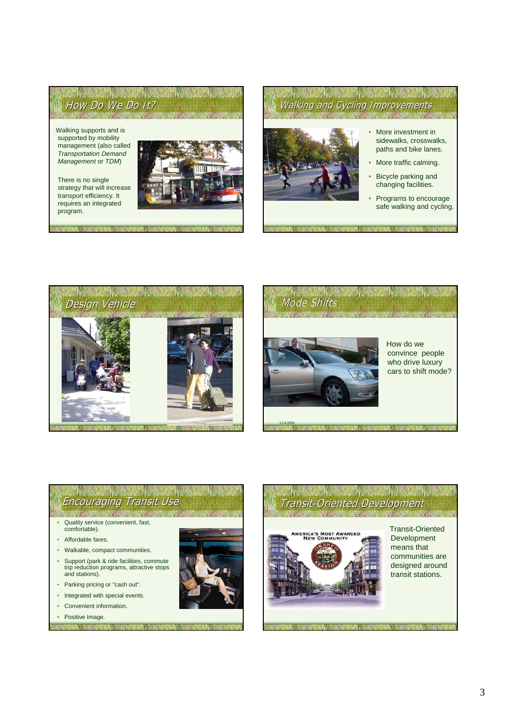



### (TV) **Encouraging Transit Use**

- Quality service (convenient, fast, comfortable).
- Affordable fares.
- Walkable, compact communities.
- Support (park & ride facilities, commute trip reduction programs, attractive stops and stations).
- Parking pricing or "cash out".
- Integrated with special events.
- Convenient information.
- Positive Image.



# **Transit-Oriented Development**



Transit-Oriented Development means that communities are designed around transit stations.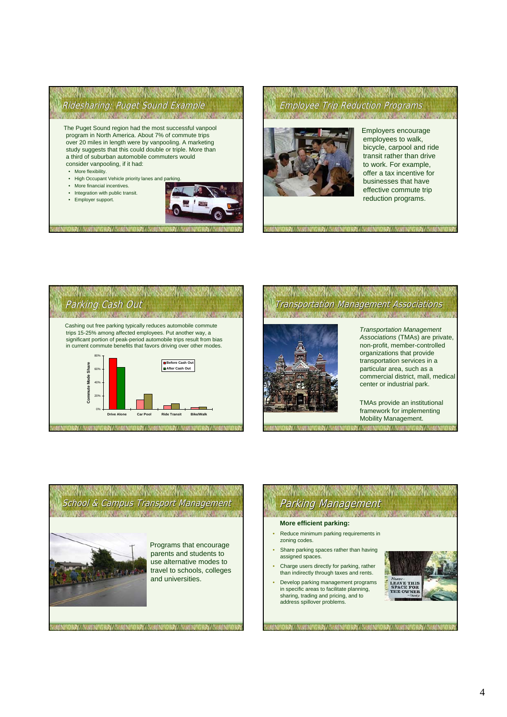

## **Employee Trip Reduction Programs**



Employers encourage employees to walk, bicycle, carpool and ride transit rather than drive to work. For example, offer a tax incentive for businesses that have effective commute trip reduction programs.



**THE SECOND SECOND SECOND SECOND SECOND SECOND SECOND SECOND SECOND SECOND SECOND SECOND SECOND SECOND SECOND SECOND SECOND SECOND SECOND SECOND SECOND SECOND SECOND SECOND SECOND SECOND SECOND SECOND SECOND SECOND SECOND Transportation Management Associations** 



*Transportation Management Associations* (TMAs) are private, non-profit, member-controlled organizations that provide transportation services in a particular area, such as a commercial district, mall, medical center or industrial park.

TMAs provide an institutional framework for implementing Mobility Management.

**SALE AND SALE AND STATE** School & Campus Transport Management Programs that encourage parents and students to use alternative modes to travel to schools, colleges and universities.

## An sy Parking Management

### **More efficient parking:**

- Reduce minimum parking requirements in zoning codes.
- Share parking spaces rather than having assigned spaces.
- Charge users directly for parking, rather than indirectly through taxes and rents.
- Develop parking management programs in specific areas to facilitate planning, sharing, trading and pricing, and to address spillover problems.

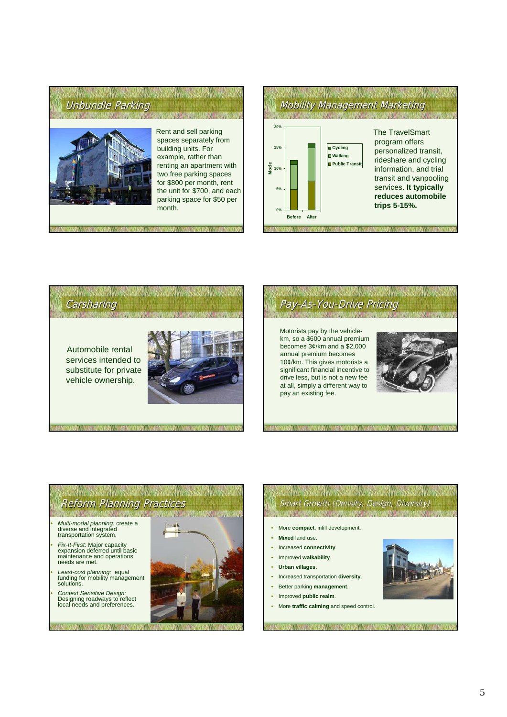





### *<u>All Andreas Andreas Andreas Andreas Andreas Andreas Andreas Andreas Andreas Andreas Andreas Andreas Andreas Andreas Andreas Andreas Andreas Andreas Andreas Andreas Andreas Andreas Andreas Andreas Andreas Andreas Andreas*</u> Smart Growth (Density, Design, Diversity) **ANNAN WI**

- More **compact**, infill development.
- **Mixed** land use.
- Increased **connectivity**.
- Improved **walkability**.
- **Urban villages.**
- Increased transportation **diversity**.
- Better parking **management**.
- Improved **public realm**.
- More **traffic calming** and speed control.

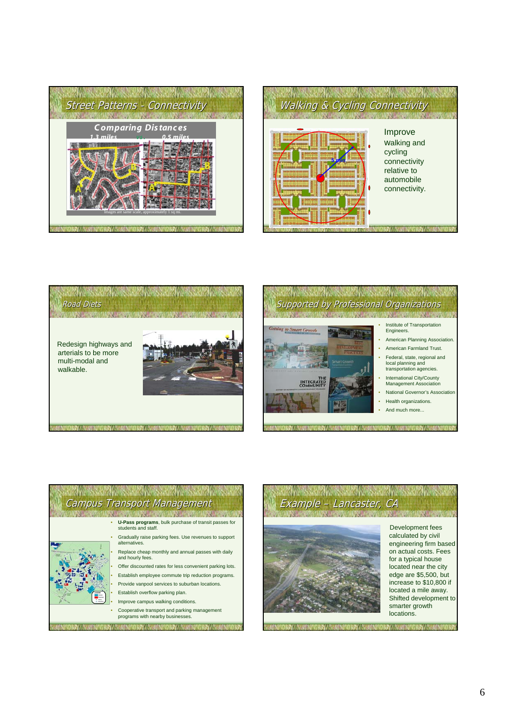







## Said the Said Mr. S. Example – Lancaster, CA



Development fees calculated by civil engineering firm based on actual costs. Fees for a typical house located near the city edge are \$5,500, but increase to \$10,800 if located a mile away. Shifted development to smarter growth locations.